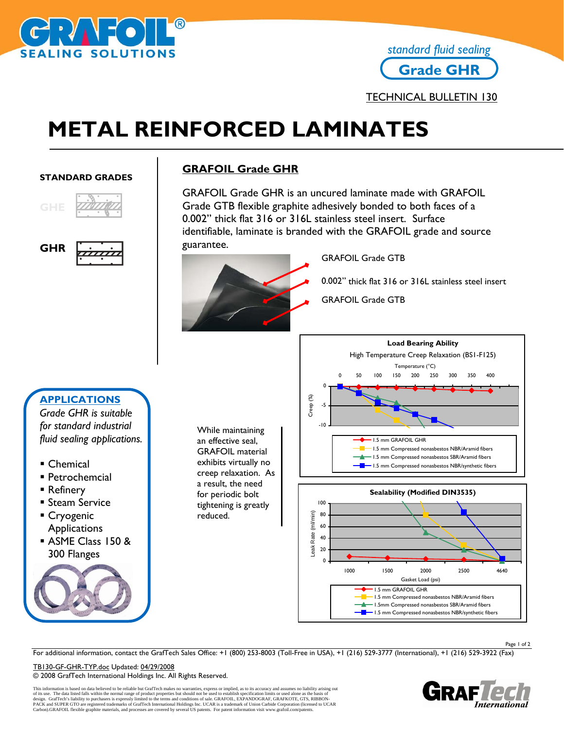

# **Grade GHR** *standard fluid sealing*

# **METAL REINFORCED LAMINATES**

#### **STANDARD GRADES**



**GHR** 

## **GRAFOIL Grade GHR**

GRAFOIL Grade GHR is an uncured laminate made with GRAFOIL Grade GTB flexible graphite adhesively bonded to both faces of a 0.002" thick flat 316 or 316L stainless steel insert. Surface identifiable, laminate is branded with the GRAFOIL grade and source guarantee.



While maintaining an effective seal, GRAFOIL material exhibits virtually no creep relaxation. As a result, the need for periodic bolt tightening is greatly

reduced.

GRAFOIL Grade GTB

- 0.002" thick flat 316 or 316L stainless steel insert
- GRAFOIL Grade GTB

# **APPLICATIONS**

*Grade GHR is suitable for standard industrial fluid sealing applications.* 

- Chemical
- **Petrochemcial**
- Refinery
- Steam Service
- Cryogenic Applications
- ASME Class 150 & 300 Flanges







Page 1 of 2

For additional information, contact the GrafTech Sales Office: +1 (800) 253-8003 (Toll-Free in USA), +1 (216) 529-3777 (International), +1 (216) 529-3922 (Fax)

TB130-GF-GHR-TYP.doc Updated: 04/29/2008 © 2008 GrafTech International Holdings Inc. All Rights Reserved.

This information is based on data believed to be reliable but GrafTech makes no warranties, express or implied, as to its accuracy and assumes no liability arising out<br>of its use. The data listed falls within the normal ra